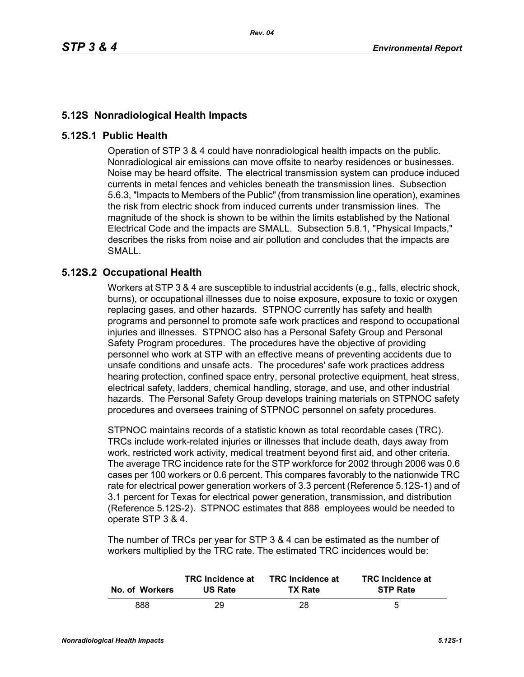## **5.12S Nonradiological Health Impacts**

## **5.12S.1 Public Health**

Operation of STP 3 & 4 could have nonradiological health impacts on the public. Nonradiological air emissions can move offsite to nearby residences or businesses. Noise may be heard offsite. The electrical transmission system can produce induced currents in metal fences and vehicles beneath the transmission lines. Subsection 5.6.3, "Impacts to Members of the Public" (from transmission line operation), examines the risk from electric shock from induced currents under transmission lines. The magnitude of the shock is shown to be within the limits established by the National Electrical Code and the impacts are SMALL. Subsection 5.8.1, "Physical Impacts," describes the risks from noise and air pollution and concludes that the impacts are SMALL.

## **5.12S.2 Occupational Health**

Workers at STP 3 & 4 are susceptible to industrial accidents (e.g., falls, electric shock, burns), or occupational illnesses due to noise exposure, exposure to toxic or oxygen replacing gases, and other hazards. STPNOC currently has safety and health programs and personnel to promote safe work practices and respond to occupational injuries and illnesses. STPNOC also has a Personal Safety Group and Personal Safety Program procedures. The procedures have the objective of providing personnel who work at STP with an effective means of preventing accidents due to unsafe conditions and unsafe acts. The procedures' safe work practices address hearing protection, confined space entry, personal protective equipment, heat stress, electrical safety, ladders, chemical handling, storage, and use, and other industrial hazards. The Personal Safety Group develops training materials on STPNOC safety procedures and oversees training of STPNOC personnel on safety procedures.

STPNOC maintains records of a statistic known as total recordable cases (TRC). TRCs include work-related injuries or illnesses that include death, days away from work, restricted work activity, medical treatment beyond first aid, and other criteria. The average TRC incidence rate for the STP workforce for 2002 through 2006 was 0.6 cases per 100 workers or 0.6 percent. This compares favorably to the nationwide TRC rate for electrical power generation workers of 3.3 percent (Reference 5.12S-1) and of 3.1 percent for Texas for electrical power generation, transmission, and distribution (Reference 5.12S-2). STPNOC estimates that 888 employees would be needed to operate STP 3 & 4.

The number of TRCs per year for STP 3 & 4 can be estimated as the number of workers multiplied by the TRC rate. The estimated TRC incidences would be:

| No. of Workers | <b>TRC</b> Incidence at | <b>TRC</b> Incidence at | <b>TRC</b> Incidence at |
|----------------|-------------------------|-------------------------|-------------------------|
|                | <b>US Rate</b>          | <b>TX Rate</b>          | <b>STP Rate</b>         |
| 888            | 29                      | 28                      | 5                       |